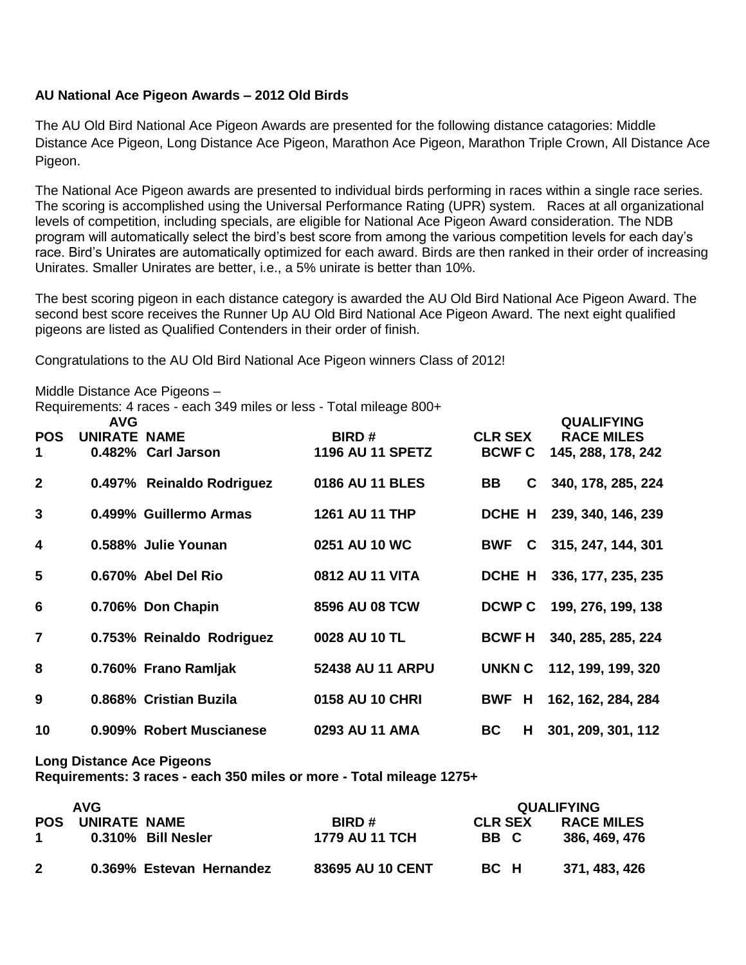## **AU National Ace Pigeon Awards – 2012 Old Birds**

The AU Old Bird National Ace Pigeon Awards are presented for the following distance catagories: Middle Distance Ace Pigeon, Long Distance Ace Pigeon, Marathon Ace Pigeon, Marathon Triple Crown, All Distance Ace Pigeon.

The National Ace Pigeon awards are presented to individual birds performing in races within a single race series. The scoring is accomplished using the Universal Performance Rating (UPR) system. Races at all organizational levels of competition, including specials, are eligible for National Ace Pigeon Award consideration. The NDB program will automatically select the bird's best score from among the various competition levels for each day's race. Bird's Unirates are automatically optimized for each award. Birds are then ranked in their order of increasing Unirates. Smaller Unirates are better, i.e., a 5% unirate is better than 10%.

The best scoring pigeon in each distance category is awarded the AU Old Bird National Ace Pigeon Award. The second best score receives the Runner Up AU Old Bird National Ace Pigeon Award. The next eight qualified pigeons are listed as Qualified Contenders in their order of finish.

Congratulations to the AU Old Bird National Ace Pigeon winners Class of 2012!

Middle Distance Ace Pigeons –

Requirements: 4 races - each 349 miles or less - Total mileage 800+

| <b>POS</b><br>1 | <b>AVG</b><br><b>UNIRATE NAME</b> | 0.482% Carl Jarson        | <b>BIRD#</b><br><b>1196 AU 11 SPETZ</b> | <b>CLR SEX</b><br><b>BCWF C</b> | <b>QUALIFYING</b><br><b>RACE MILES</b><br>145, 288, 178, 242 |
|-----------------|-----------------------------------|---------------------------|-----------------------------------------|---------------------------------|--------------------------------------------------------------|
| $\mathbf{2}$    |                                   | 0.497% Reinaldo Rodriguez | 0186 AU 11 BLES                         | BB                              | C 340, 178, 285, 224                                         |
| 3               |                                   | 0.499% Guillermo Armas    | <b>1261 AU 11 THP</b>                   | DCHE H                          | 239, 340, 146, 239                                           |
| 4               |                                   | 0.588% Julie Younan       | 0251 AU 10 WC                           | <b>BWF</b>                      | $C$ 315, 247, 144, 301                                       |
| 5               |                                   | 0.670% Abel Del Rio       | 0812 AU 11 VITA                         | DCHE H                          | 336, 177, 235, 235                                           |
| 6               |                                   | 0.706% Don Chapin         | 8596 AU 08 TCW                          | <b>DCWP C</b>                   | 199, 276, 199, 138                                           |
| $\overline{7}$  |                                   | 0.753% Reinaldo Rodriguez | 0028 AU 10 TL                           | <b>BCWF H</b>                   | 340, 285, 285, 224                                           |
| 8               |                                   | 0.760% Frano Ramljak      | 52438 AU 11 ARPU                        | UNKN C                          | 112, 199, 199, 320                                           |
| 9               |                                   | 0.868% Cristian Buzila    | 0158 AU 10 CHRI                         | BWF H                           | 162, 162, 284, 284                                           |
| 10              |                                   | 0.909% Robert Muscianese  | 0293 AU 11 AMA                          | <b>BC</b><br>H.                 | 301, 209, 301, 112                                           |

## **Long Distance Ace Pigeons**

**Requirements: 3 races - each 350 miles or more - Total mileage 1275+** 

| <b>AVG</b> |                         |                          |                         | <b>QUALIFYING</b>      |                                    |  |
|------------|-------------------------|--------------------------|-------------------------|------------------------|------------------------------------|--|
|            | <b>POS UNIRATE NAME</b> | 0.310% Bill Nesler       | BIRD#<br>1779 AU 11 TCH | <b>CLR SEX</b><br>BB C | <b>RACE MILES</b><br>386, 469, 476 |  |
|            |                         | 0.369% Estevan Hernandez | 83695 AU 10 CENT        | BC H                   | 371, 483, 426                      |  |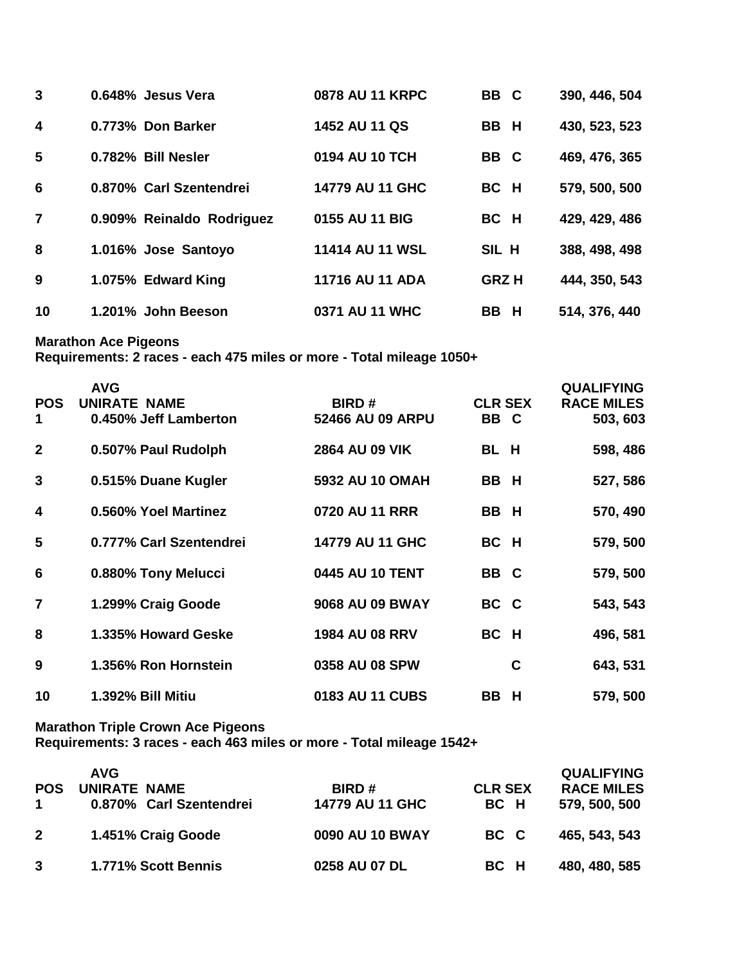| 3                       | 0.648% Jesus Vera         | <b>0878 AU 11 KRPC</b> | BB C        | 390, 446, 504 |
|-------------------------|---------------------------|------------------------|-------------|---------------|
| $\overline{\mathbf{4}}$ | 0.773% Don Barker         | 1452 AU 11 QS          | BB H        | 430, 523, 523 |
| 5                       | 0.782% Bill Nesler        | 0194 AU 10 TCH         | BB C        | 469, 476, 365 |
| 6                       | 0.870% Carl Szentendrei   | 14779 AU 11 GHC        | BC H        | 579, 500, 500 |
| $\overline{\mathbf{z}}$ | 0.909% Reinaldo Rodriguez | 0155 AU 11 BIG         | BC H        | 429, 429, 486 |
| 8                       | 1.016% Jose Santoyo       | 11414 AU 11 WSL        | SIL H       | 388, 498, 498 |
| 9                       | 1.075% Edward King        | 11716 AU 11 ADA        | <b>GRZH</b> | 444, 350, 543 |
| 10                      | 1.201% John Beeson        | 0371 AU 11 WHC         | BB H        | 514, 376, 440 |

**Marathon Ace Pigeons**

**Requirements: 2 races - each 475 miles or more - Total mileage 1050+**

|                         | <b>AVG</b>              |                       |                | <b>QUALIFYING</b> |
|-------------------------|-------------------------|-----------------------|----------------|-------------------|
| <b>POS</b>              | UNIRATE NAME            | <b>BIRD#</b>          | <b>CLR SEX</b> | <b>RACE MILES</b> |
| 1                       | 0.450% Jeff Lamberton   | 52466 AU 09 ARPU      | BB C           | 503, 603          |
| $\mathbf{2}$            | 0.507% Paul Rudolph     | 2864 AU 09 VIK        | BL H           | 598, 486          |
| 3                       | 0.515% Duane Kugler     | 5932 AU 10 OMAH       | BB H           | 527, 586          |
| $\overline{\mathbf{4}}$ | 0.560% Yoel Martinez    | 0720 AU 11 RRR        | BB H           | 570, 490          |
| 5                       | 0.777% Carl Szentendrei | 14779 AU 11 GHC       | BC H           | 579, 500          |
| 6                       | 0.880% Tony Melucci     | 0445 AU 10 TENT       | BB C           | 579, 500          |
| $\overline{7}$          | 1.299% Craig Goode      | 9068 AU 09 BWAY       | BC C           | 543, 543          |
| 8                       | 1.335% Howard Geske     | <b>1984 AU 08 RRV</b> | BC H           | 496, 581          |
| 9                       | 1.356% Ron Hornstein    | 0358 AU 08 SPW        | C              | 643, 531          |
| 10                      | 1.392% Bill Mitiu       | 0183 AU 11 CUBS       | <b>BB</b><br>H | 579, 500          |

**Marathon Triple Crown Ace Pigeons**

**Requirements: 3 races - each 463 miles or more - Total mileage 1542+**

| <b>POS</b>  | <b>AVG</b><br>UNIRATE NAME<br>0.870% Carl Szentendrei | <b>BIRD#</b><br>14779 AU 11 GHC | <b>CLR SEX</b><br>BC H | <b>QUALIFYING</b><br><b>RACE MILES</b><br>579, 500, 500 |
|-------------|-------------------------------------------------------|---------------------------------|------------------------|---------------------------------------------------------|
| $2^{\circ}$ | 1.451% Craig Goode                                    | 0090 AU 10 BWAY                 | BC C                   | 465, 543, 543                                           |
|             | 1.771% Scott Bennis                                   | 0258 AU 07 DL                   | BC H                   | 480, 480, 585                                           |